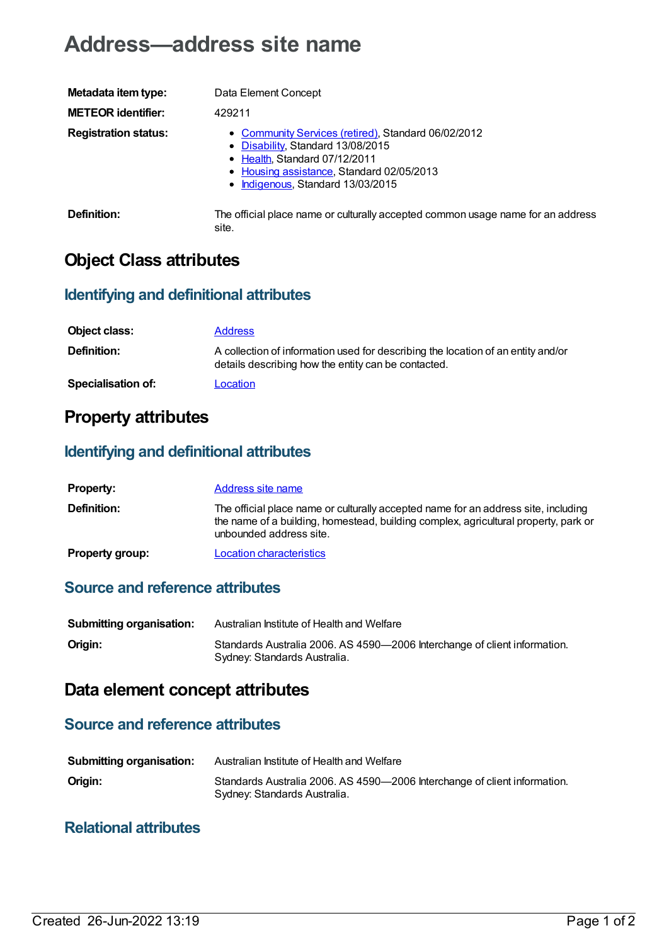# **Address—address site name**

| Metadata item type:         | Data Element Concept                                                                                                                                                                                        |
|-----------------------------|-------------------------------------------------------------------------------------------------------------------------------------------------------------------------------------------------------------|
| <b>METEOR identifier:</b>   | 429211                                                                                                                                                                                                      |
| <b>Registration status:</b> | • Community Services (retired), Standard 06/02/2012<br>• Disability, Standard 13/08/2015<br>• Health, Standard 07/12/2011<br>• Housing assistance, Standard 02/05/2013<br>• Indigenous, Standard 13/03/2015 |
| Definition:                 | The official place name or culturally accepted common usage name for an address<br>site.                                                                                                                    |

# **Object Class attributes**

### **Identifying and definitional attributes**

| Object class:             | <b>Address</b>                                                                                                                          |
|---------------------------|-----------------------------------------------------------------------------------------------------------------------------------------|
| Definition:               | A collection of information used for describing the location of an entity and/or<br>details describing how the entity can be contacted. |
| <b>Specialisation of:</b> | Location                                                                                                                                |

# **Property attributes**

### **Identifying and definitional attributes**

| <b>Property:</b>       | Address site name                                                                                                                                                                                    |
|------------------------|------------------------------------------------------------------------------------------------------------------------------------------------------------------------------------------------------|
| <b>Definition:</b>     | The official place name or culturally accepted name for an address site, including<br>the name of a building, homestead, building complex, agricultural property, park or<br>unbounded address site. |
| <b>Property group:</b> | <b>Location characteristics</b>                                                                                                                                                                      |

## **Source and reference attributes**

| <b>Submitting organisation:</b> | Australian Institute of Health and Welfare                                                                |
|---------------------------------|-----------------------------------------------------------------------------------------------------------|
| Origin:                         | Standards Australia 2006. AS 4590-2006 Interchange of client information.<br>Sydney: Standards Australia. |

# **Data element concept attributes**

#### **Source and reference attributes**

| <b>Submitting organisation:</b> | Australian Institute of Health and Welfare                                                                |
|---------------------------------|-----------------------------------------------------------------------------------------------------------|
| Origin:                         | Standards Australia 2006. AS 4590-2006 Interchange of client information.<br>Sydney: Standards Australia. |

#### **Relational attributes**